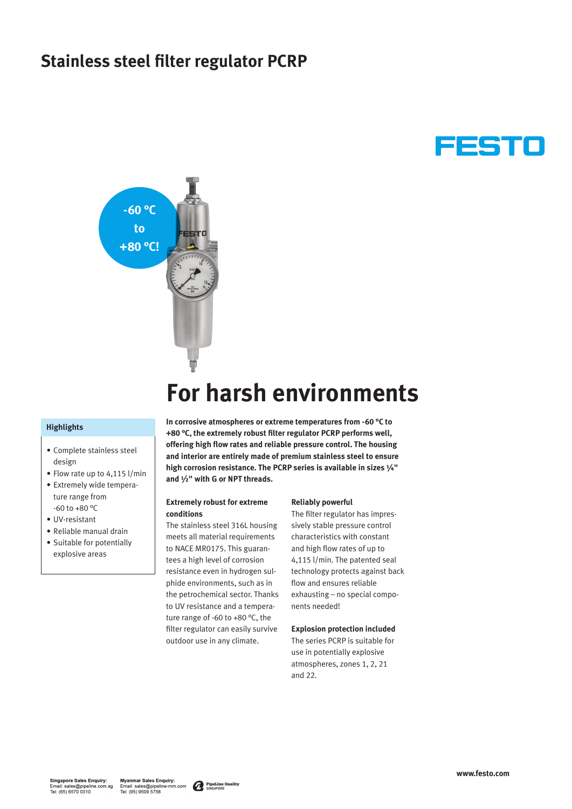### **Stainless steel filter regulator PCRP**





# **For harsh environments**

#### **Highlights**

- Complete stainless steel design
- Flow rate up to 4,115 l/min
- Extremely wide temperature range from -60 to +80 °C
- UV-resistant
- Reliable manual drain
- Suitable for potentially explosive areas

**In corrosive atmospheres or extreme temperatures from -60 °C to +80 °C, the extremely robust filter regulator PCRP performs well, offering high flow rates and reliable pressure control. The housing and interior are entirely made of premium stainless steel to ensure high corrosion resistance. The PCRP series is available in sizes ¼" and ½" with G or NPT threads.**

#### **Extremely robust for extreme conditions**

The stainless steel 316L housing meets all material requirements to NACE MR0175. This guarantees a high level of corrosion resistance even in hydrogen sulphide environments, such as in the petrochemical sector. Thanks to UV resistance and a temperature range of -60 to +80 °C, the filter regulator can easily survive outdoor use in any climate.

#### **Reliably powerful**

The filter regulator has impressively stable pressure control characteristics with constant and high flow rates of up to 4,115 l/min. The patented seal technology protects against back flow and ensures reliable exhausting – no special components needed!

#### **Explosion protection included**

The series PCRP is suitable for use in potentially explosive atmospheres, zones 1, 2, 21 and 22.

Myanmar Sales Enquiry:<br>Email: sales@pipeline-mm.com Tel: (95) 9509 5758